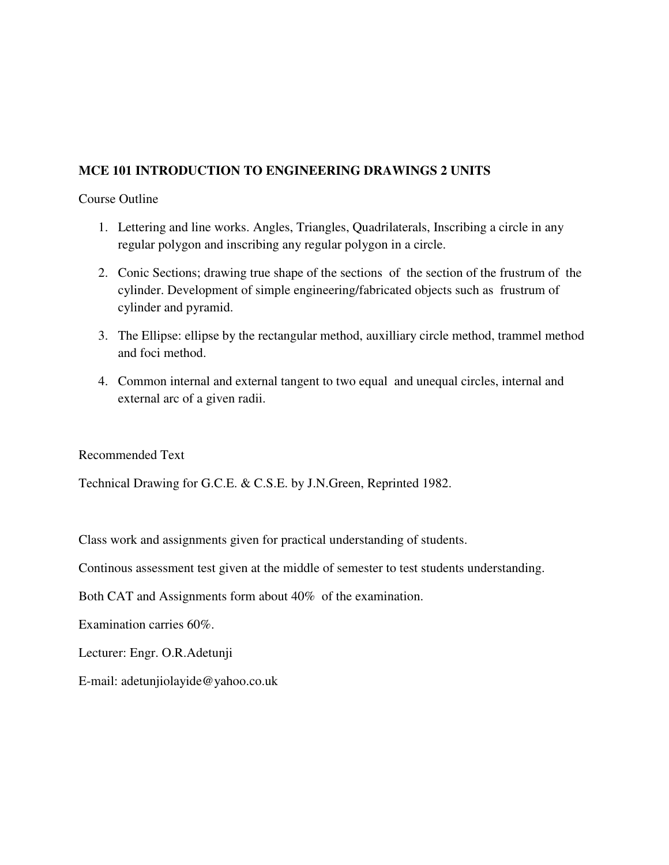## **MCE 101 INTRODUCTION TO ENGINEERING DRAWINGS 2 UNITS**

### Course Outline

- 1. Lettering and line works. Angles, Triangles, Quadrilaterals, Inscribing a circle in any regular polygon and inscribing any regular polygon in a circle.
- 2. Conic Sections; drawing true shape of the sections of the section of the frustrum of the cylinder. Development of simple engineering/fabricated objects such as frustrum of cylinder and pyramid.
- 3. The Ellipse: ellipse by the rectangular method, auxilliary circle method, trammel method and foci method.
- 4. Common internal and external tangent to two equal and unequal circles, internal and external arc of a given radii.

Recommended Text

Technical Drawing for G.C.E. & C.S.E. by J.N.Green, Reprinted 1982.

Class work and assignments given for practical understanding of students.

Continous assessment test given at the middle of semester to test students understanding.

Both CAT and Assignments form about 40% of the examination.

Examination carries 60%.

Lecturer: Engr. O.R.Adetunji

E-mail: adetunjiolayide@yahoo.co.uk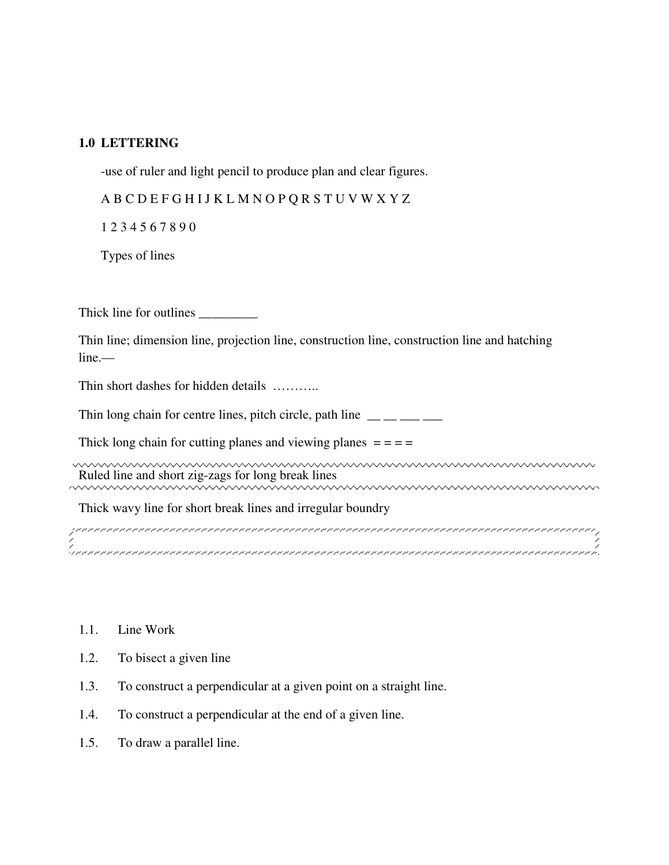### **1.0 LETTERING**

-use of ruler and light pencil to produce plan and clear figures.

A B C D E F G H I J K L M N O P Q R S T U V W X Y Z

1 2 3 4 5 6 7 8 9 0

Types of lines

Thick line for outlines

Thin line; dimension line, projection line, construction line, construction line and hatching line.—

Thin short dashes for hidden details ………..

Thin long chain for centre lines, pitch circle, path line  $\frac{1}{\sqrt{2}}$ 

Thick long chain for cutting planes and viewing planes  $= = =$ 

www.www.www.www.www.www.www.www. Ruled line and short zig-zags for long break lines

Thick wavy line for short break lines and irregular boundry

, principala a la procesa de la procesa de la procesa de la procesa de la procesa de la procesa de la procesa<br>1 

- 1.1. Line Work
- 1.2. To bisect a given line
- 1.3. To construct a perpendicular at a given point on a straight line.
- 1.4. To construct a perpendicular at the end of a given line.
- 1.5. To draw a parallel line.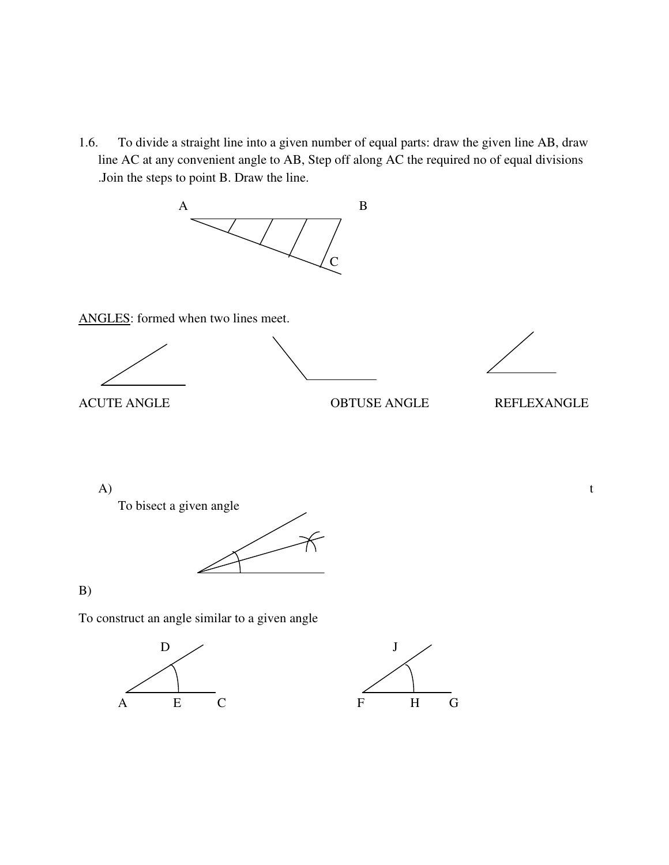1.6. To divide a straight line into a given number of equal parts: draw the given line AB, draw line AC at any convenient angle to AB, Step off along AC the required no of equal divisions .Join the steps to point B. Draw the line.



ANGLES: formed when two lines meet.





ACUTE ANGLE OBTUSE ANGLE REFLEXANGLE

 $A)$  t



B)

To construct an angle similar to a given angle



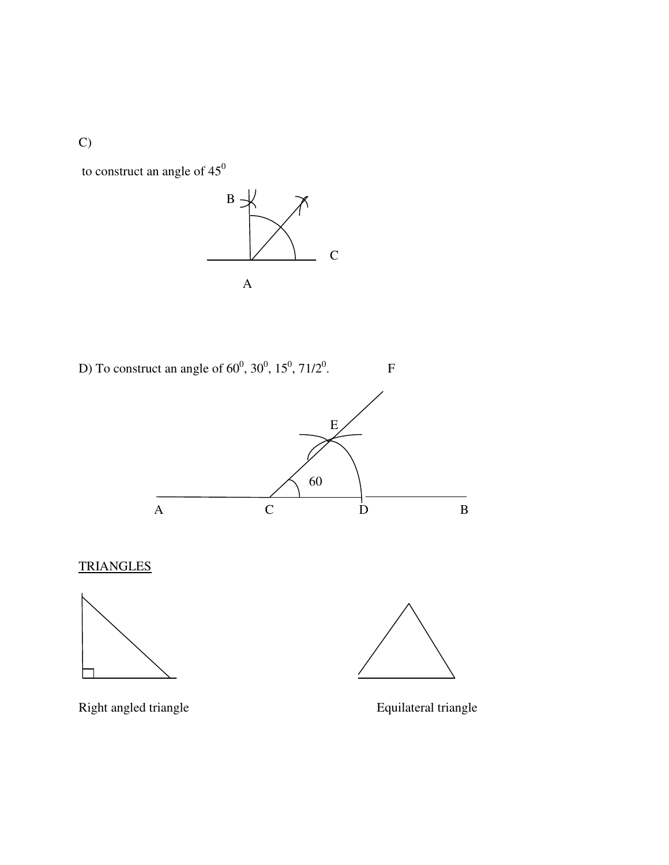C)

to construct an angle of  $45^0$ 



D) To construct an angle of  $60^0$ ,  $30^0$ ,  $15^0$ ,  $71/2^0$ 



**TRIANGLES** 





 ${\bf F}$ 

Right angled triangle<br>
Equilateral triangle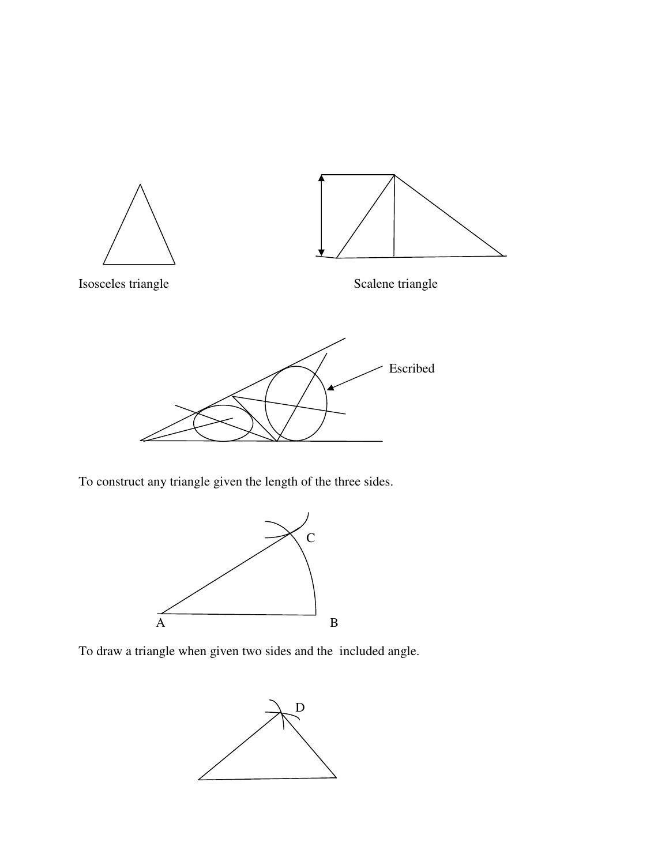

To construct any triangle given the length of the three sides.



To draw a triangle when given two sides and the included angle.

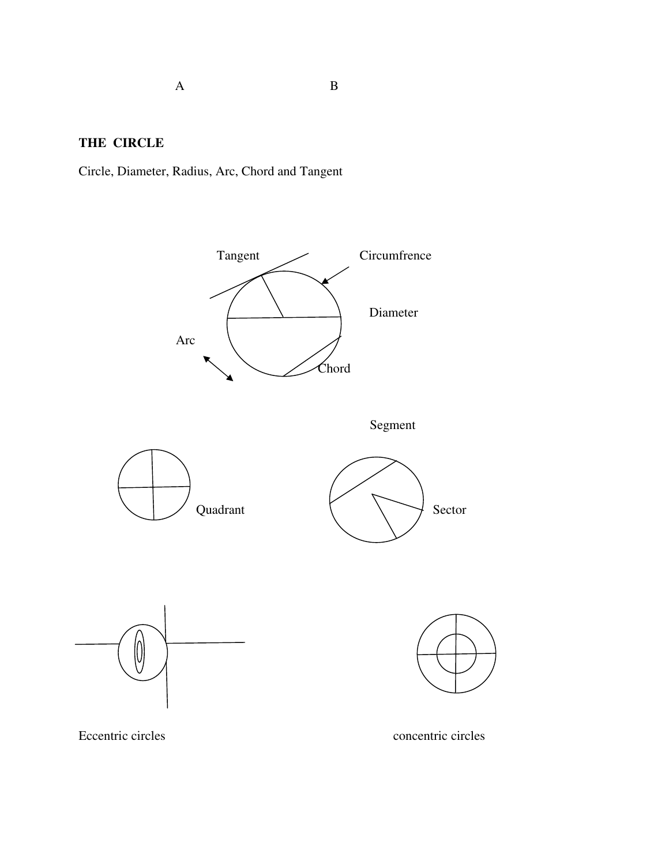A B

**THE CIRCLE**

Circle, Diameter, Radius, Arc, Chord and Tangent

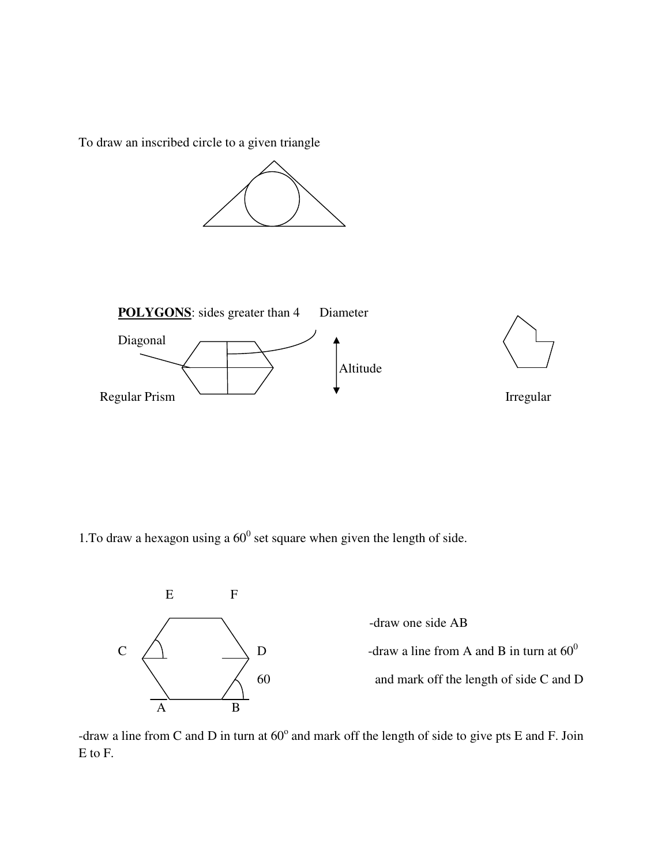To draw an inscribed circle to a given triangle





1. To draw a hexagon using a  $60^{\circ}$  set square when given the length of side.



-draw one side AB  $\begin{array}{ccc} \text{C} & \diagup \bigwedge & \text{D} \end{array}$  -draw a line from A and B in turn at  $60^0$ 60 and mark off the length of side C and D

-draw a line from C and D in turn at  $60^{\circ}$  and mark off the length of side to give pts E and F. Join E to F.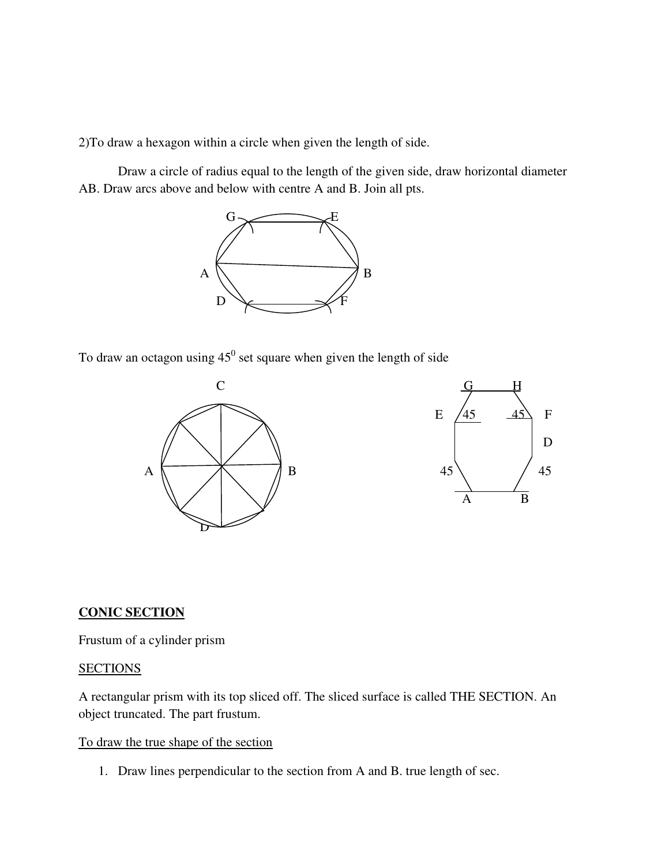2)To draw a hexagon within a circle when given the length of side.

Draw a circle of radius equal to the length of the given side, draw horizontal diameter AB. Draw arcs above and below with centre A and B. Join all pts.



To draw an octagon using  $45^{\circ}$  set square when given the length of side



#### **CONIC SECTION**

Frustum of a cylinder prism

### **SECTIONS**

A rectangular prism with its top sliced off. The sliced surface is called THE SECTION. An object truncated. The part frustum.

#### To draw the true shape of the section

1. Draw lines perpendicular to the section from A and B. true length of sec.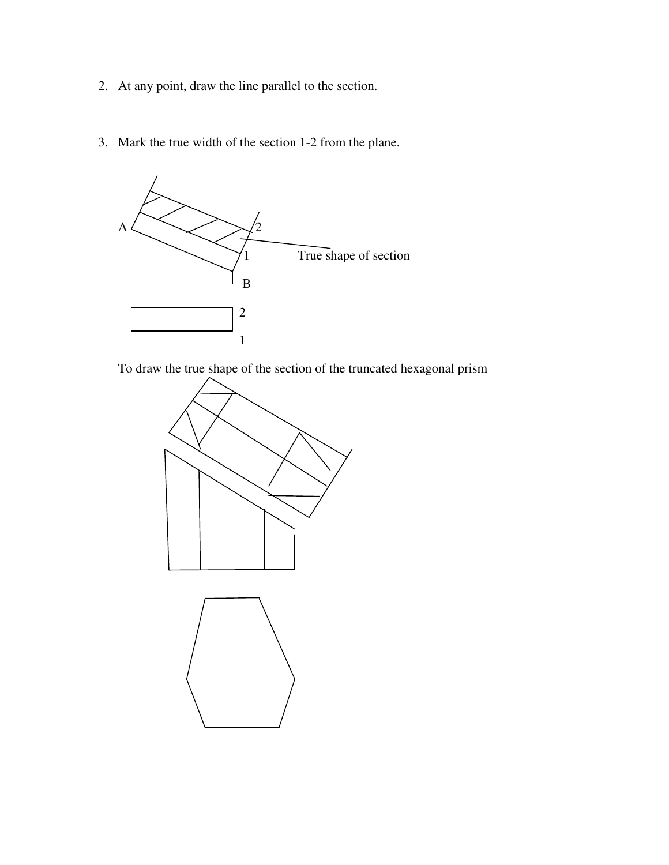- 2. At any point, draw the line parallel to the section.
- 3. Mark the true width of the section 1-2 from the plane.



To draw the true shape of the section of the truncated hexagonal prism

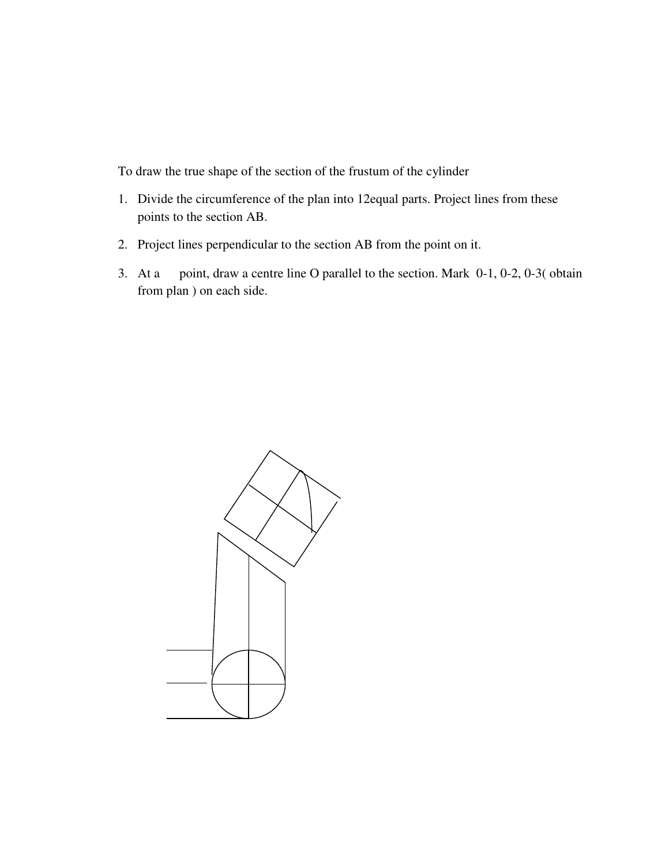To draw the true shape of the section of the frustum of the cylinder

- 1. Divide the circumference of the plan into 12equal parts. Project lines from these points to the section AB.
- 2. Project lines perpendicular to the section AB from the point on it.
- 3. At a point, draw a centre line O parallel to the section. Mark 0-1, 0-2, 0-3( obtain from plan ) on each side.

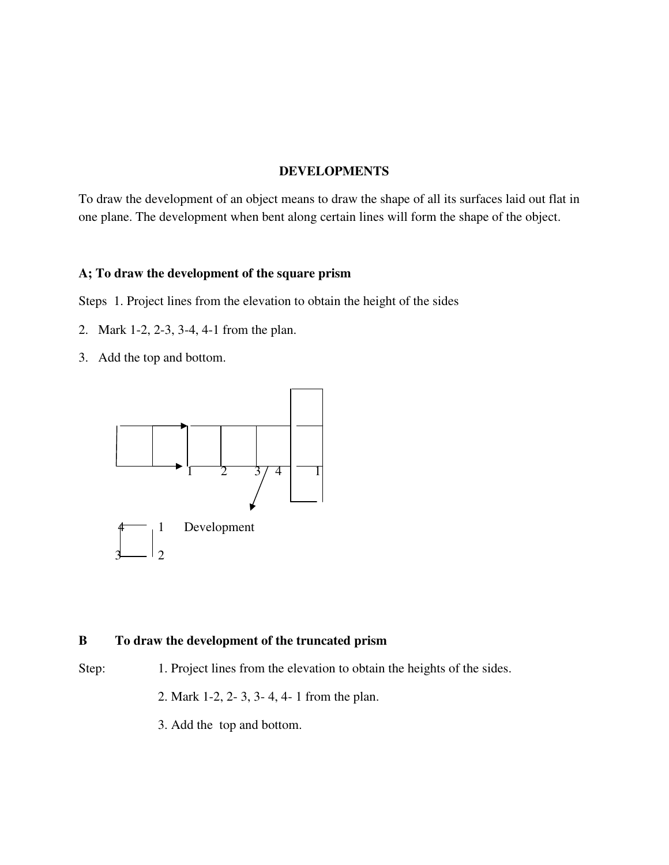## **DEVELOPMENTS**

To draw the development of an object means to draw the shape of all its surfaces laid out flat in one plane. The development when bent along certain lines will form the shape of the object.

### **A; To draw the development of the square prism**

Steps 1. Project lines from the elevation to obtain the height of the sides

- 2. Mark 1-2, 2-3, 3-4, 4-1 from the plan.
- 3. Add the top and bottom.



#### **B To draw the development of the truncated prism**

- Step: 1. Project lines from the elevation to obtain the heights of the sides.
	- 2. Mark 1-2, 2- 3, 3- 4, 4- 1 from the plan.
	- 3. Add the top and bottom.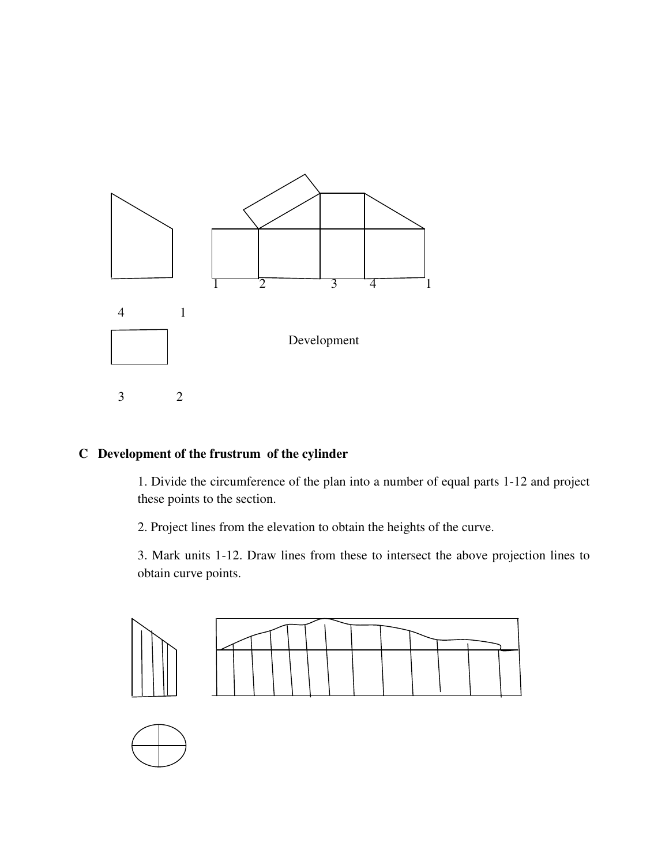

## **C Development of the frustrum of the cylinder**

1. Divide the circumference of the plan into a number of equal parts 1-12 and project these points to the section.

2. Project lines from the elevation to obtain the heights of the curve.

3. Mark units 1-12. Draw lines from these to intersect the above projection lines to obtain curve points.

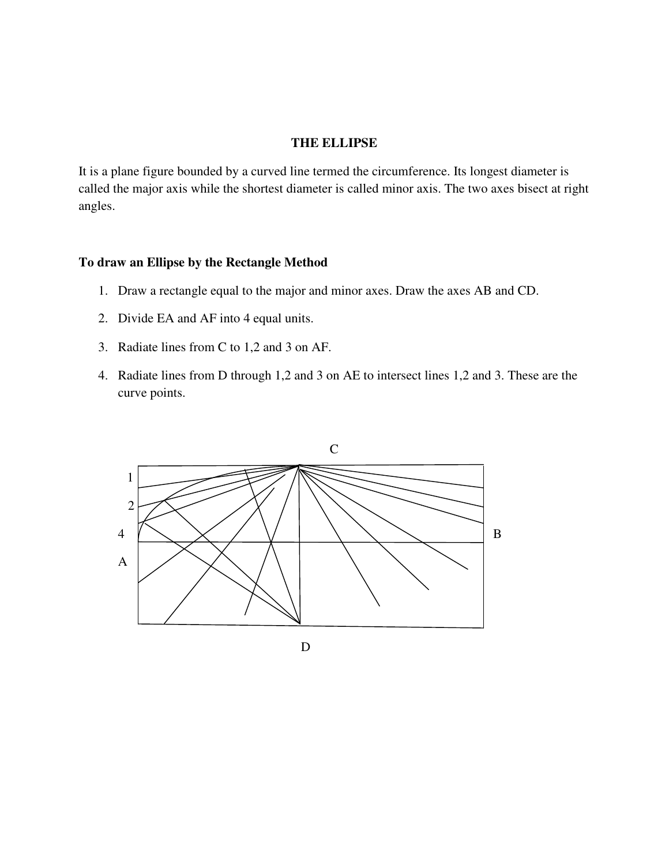#### **THE ELLIPSE**

It is a plane figure bounded by a curved line termed the circumference. Its longest diameter is called the major axis while the shortest diameter is called minor axis. The two axes bisect at right angles.

### **To draw an Ellipse by the Rectangle Method**

- 1. Draw a rectangle equal to the major and minor axes. Draw the axes AB and CD.
- 2. Divide EA and AF into 4 equal units.
- 3. Radiate lines from C to 1,2 and 3 on AF.
- 4. Radiate lines from D through 1,2 and 3 on AE to intersect lines 1,2 and 3. These are the curve points.

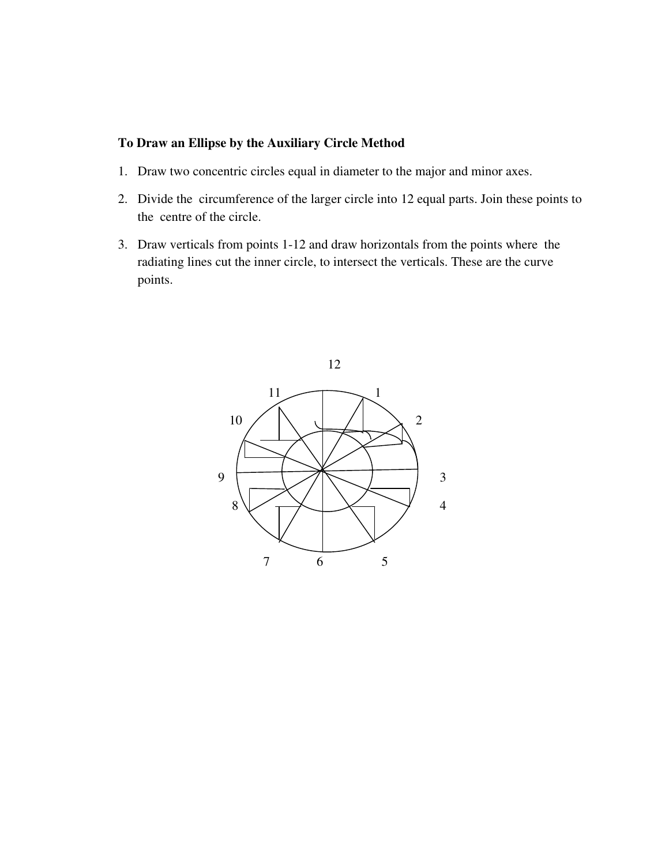## **To Draw an Ellipse by the Auxiliary Circle Method**

- 1. Draw two concentric circles equal in diameter to the major and minor axes.
- 2. Divide the circumference of the larger circle into 12 equal parts. Join these points to the centre of the circle.
- 3. Draw verticals from points 1-12 and draw horizontals from the points where the radiating lines cut the inner circle, to intersect the verticals. These are the curve points.